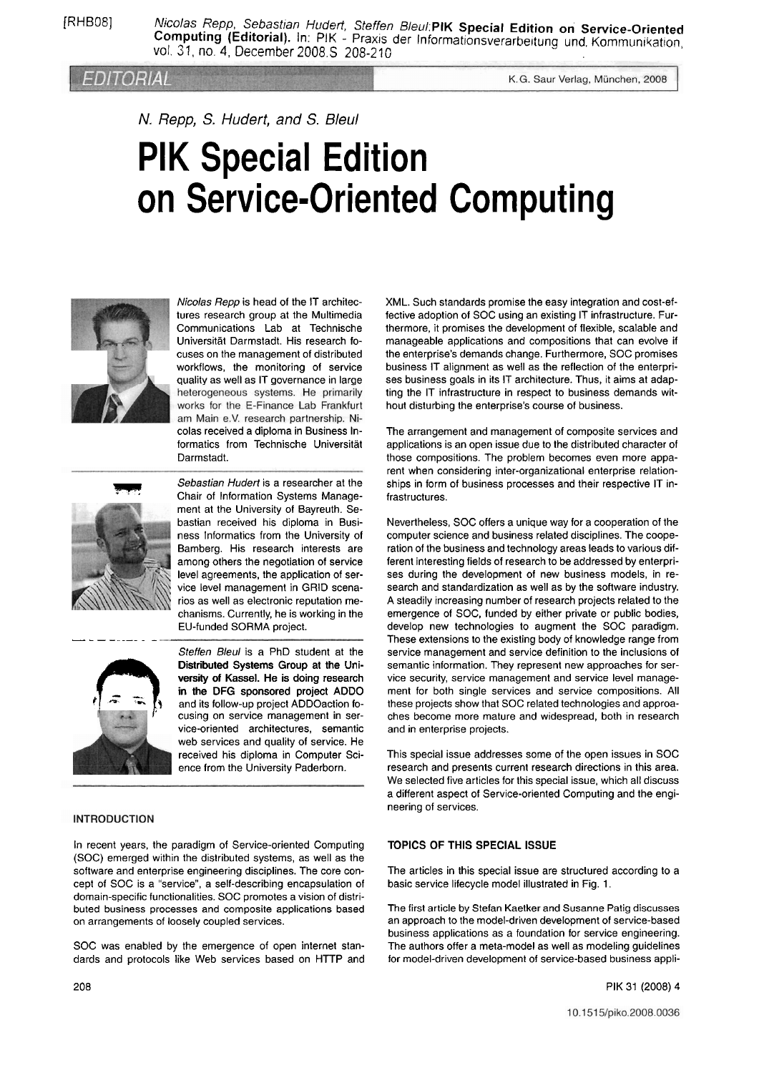$[\mathsf{RHB08}]$  Micolas Repp, Sebastian Hudert, Steffen Bleul:**PIK Special Edition on Service-Oriented Computing (Editorial).** In: PIK - Praxis der Informationsverarbeitung und Kommunikation vol. 31, no. 4, December 2008.S 208-210

## **EDITORIAL**

K.G. Saur Verlag, München, 2008

N. Repp, S. Hudert, and S. Bleul

# **PIK Special Edition on Service-Oriented Computing**



**Nicolas Repp** is head of the IT architectures research group at the Multimedia Communications Lab at Technische Universität Darmstadt. His research focuses on the management of distributed workflows, the monitoring of service quality as well as IT governance in large heterogeneous systems. He primarily works for the E-Finance Lab Frankfurt am Main e.V. research partnership. Nicolas received a diploma in Business Informatics from Technische Universität Darmstadt.



Sebastian Hudert is a researcher at the Chair of Information Systems Management at the University of Bayreuth. Sebastian received his diploma in Business lnformatics from the University of Bamberg. His research interests are among others the negotiation of sewice level agreements, the application of service level management in GRlD scenarios as well as electronic reputation mechanisms. Currently, he is working in the EU-funded SORMA project.



**Steffen Bleul** is a PhD student at the Distributed Systems Group at the University of Kassel. He is doing research in the DFG sponsored project ADDO Vice level management in GRID scenarios as well as electronic reputation mechanisms. Currently, he is working in the EU-funded SORMA project.<br>
Steffen Bleul is a PhD student at the Distributed Systems Group at the Universi cusing on service management in service-oriented architectures, semantic web services and quality of service. He received his diploma in Computer Science from the University Paderborn.

#### **INTRODUCTION**

In recent years, the paradigm of Service-oriented Computing (SOC) emerged within the distributed systems, as well as the software and enterprise engineering disciplines. The core concept of SOC is a "service", a self-describing encapsulation of domain-specific functionalities. SOC promotes a vision of distributed business processes and composite applications based on arrangements of loosely coupled services.

SOC was enabled by the emergence of open internet standards and protocols like Web services based on HTTP and XML. Such standards promise the easy integration and cost-effective adoption of SOC using an existing IT infrastructure. Furthermore, it promises the development of flexible, scalable and manageable applications and compositions that can evolve if the enterprise's demands change. Furthermore, SOC promises business IT alignment as well as the reflection of the enterprises business goals in its IT architecture. Thus, it aims at adapting the IT infrastructure in respect to business demands without disturbing the enterprise's Course of business.

The arrangement and management of composite sewices and applications is an Open issue due to the distributed character of those compositions. The problem becomes even more apparent when considering inter-organizational enterprise relationships in form of business processes and their respective IT infrastructures.

Nevertheless, SOC offers a unique way for a cooperation of the computer science and business related disciplines. The cooperation of the business and technology areas leads to various different interesting fields of research to be addressed by enterpri-Ses during the development of new business models, in research and standardization as well as by the software industry. A steadily increasing number of research projects related to the emergence of SOC, funded by either private or public bodies, develop new technologies to augment the SOC paradigm. These extensions to the existing body of knowledge range from service management and service definition to the inclusions of semantic information. They represent new approaches for service security, service management and service level management for both single services and sewice compositions. All these projects show that SOC related technologies and approaches become more mature and widespread, both in research and in enterprise projects.

This special issue addresses some of the open issues in SOC research and presents current research directions in this area. We selected five articles for this special issue, which all discuss a different aspect of Service-oriented Computing and the engineering of services.

### TOPICS **OF** THIS SPECIAL ISSUE

The articles in this special issue are structured according to a basic service lifecycle model illustrated in Fig. 1.

The first article by Stefan Kaetker and Susanne Patig discusses an approach to the model-driven development of service-based business applications as a foundation for service engineering. The authors offer a meta-model as well as modeling guidelines for model-driven development of service-based business appli-

```
208 PIK 31 (2008) 4
```